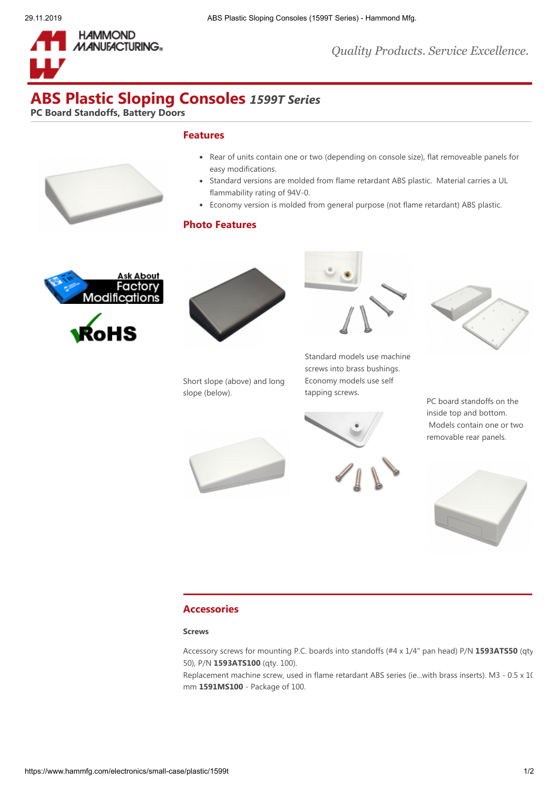



*Quality Products. Service Excellence.*

# **ABS Plastic Sloping Consoles** *1599T Series*

**PC Board Standoffs, Battery Doors**

## **Features**



- Rear of units contain one or two (depending on console size), flat removeable panels for easy modifications.
- Standard versions are molded from flame retardant ABS plastic. Material carries a UL  $\bullet$ flammability rating of 94V-0.
- Economy version is molded from general purpose (not flame retardant) ABS plastic.

# **Photo Features**





Short slope (above) and long slope (below).



Standard models use machine screws into brass bushings. Economy models use self tapping screws.



PC board standoffs on the inside top and bottom. Models contain one or two removable rear panels.



## **Accessories**

#### **Screws**

Accessory screws for mounting P.C. boards into standoffs (#4 x 1/4" pan head) P/N **[1593ATS50](https://www.hammfg.com/part/1593ATS50)** (qty 50), P/N **[1593ATS100](https://www.hammfg.com/part/1593ATS100)** (qty. 100).

Replacement machine screw, used in flame retardant ABS series (ie...with brass inserts). M3 - 0.5 x 10 mm **[1591MS100](https://www.hammfg.com/part/1591MS100)** - Package of 100.